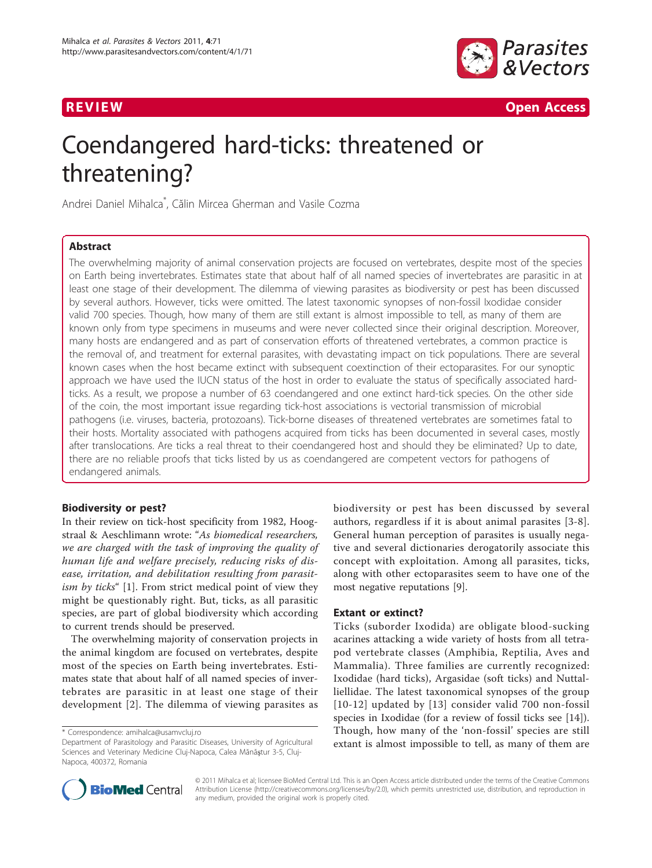

R EVI EW Open Access

# Coendangered hard-ticks: threatened or threatening?

Andrei Daniel Mihalca\* , Călin Mircea Gherman and Vasile Cozma

# Abstract

The overwhelming majority of animal conservation projects are focused on vertebrates, despite most of the species on Earth being invertebrates. Estimates state that about half of all named species of invertebrates are parasitic in at least one stage of their development. The dilemma of viewing parasites as biodiversity or pest has been discussed by several authors. However, ticks were omitted. The latest taxonomic synopses of non-fossil Ixodidae consider valid 700 species. Though, how many of them are still extant is almost impossible to tell, as many of them are known only from type specimens in museums and were never collected since their original description. Moreover, many hosts are endangered and as part of conservation efforts of threatened vertebrates, a common practice is the removal of, and treatment for external parasites, with devastating impact on tick populations. There are several known cases when the host became extinct with subsequent coextinction of their ectoparasites. For our synoptic approach we have used the IUCN status of the host in order to evaluate the status of specifically associated hardticks. As a result, we propose a number of 63 coendangered and one extinct hard-tick species. On the other side of the coin, the most important issue regarding tick-host associations is vectorial transmission of microbial pathogens (i.e. viruses, bacteria, protozoans). Tick-borne diseases of threatened vertebrates are sometimes fatal to their hosts. Mortality associated with pathogens acquired from ticks has been documented in several cases, mostly after translocations. Are ticks a real threat to their coendangered host and should they be eliminated? Up to date, there are no reliable proofs that ticks listed by us as coendangered are competent vectors for pathogens of endangered animals.

#### Biodiversity or pest?

In their review on tick-host specificity from 1982, Hoogstraal & Aeschlimann wrote: "As biomedical researchers, we are charged with the task of improving the quality of human life and welfare precisely, reducing risks of disease, irritation, and debilitation resulting from parasitism by ticks" [[1\]](#page-5-0). From strict medical point of view they might be questionably right. But, ticks, as all parasitic species, are part of global biodiversity which according to current trends should be preserved.

The overwhelming majority of conservation projects in the animal kingdom are focused on vertebrates, despite most of the species on Earth being invertebrates. Estimates state that about half of all named species of invertebrates are parasitic in at least one stage of their development [\[2\]](#page-5-0). The dilemma of viewing parasites as biodiversity or pest has been discussed by several authors, regardless if it is about animal parasites [\[3](#page-5-0)-[8](#page-5-0)]. General human perception of parasites is usually negative and several dictionaries derogatorily associate this concept with exploitation. Among all parasites, ticks, along with other ectoparasites seem to have one of the most negative reputations [\[9\]](#page-5-0).

#### Extant or extinct?

Ticks (suborder Ixodida) are obligate blood-sucking acarines attacking a wide variety of hosts from all tetrapod vertebrate classes (Amphibia, Reptilia, Aves and Mammalia). Three families are currently recognized: Ixodidae (hard ticks), Argasidae (soft ticks) and Nuttalliellidae. The latest taxonomical synopses of the group [[10-](#page-5-0)[12\]](#page-6-0) updated by [[13](#page-6-0)] consider valid 700 non-fossil species in Ixodidae (for a review of fossil ticks see [\[14\]](#page-6-0)). Though, how many of the 'non-fossil' species are still extant is almost impossible to tell, as many of them are



© 2011 Mihalca et al; licensee BioMed Central Ltd. This is an Open Access article distributed under the terms of the Creative Commons Attribution License [\(http://creativecommons.org/licenses/by/2.0](http://creativecommons.org/licenses/by/2.0)), which permits unrestricted use, distribution, and reproduction in any medium, provided the original work is properly cited.

<sup>\*</sup> Correspondence: [amihalca@usamvcluj.ro](mailto:amihalca@usamvcluj.ro)

Department of Parasitology and Parasitic Diseases, University of Agricultural Sciences and Veterinary Medicine Cluj-Napoca, Calea Mănăştur 3-5, Cluj-Napoca, 400372, Romania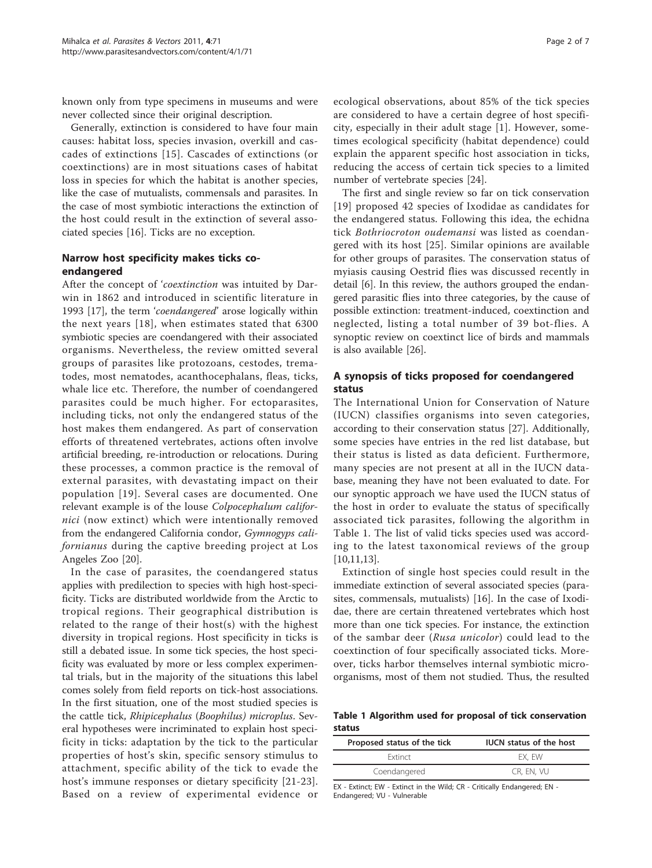known only from type specimens in museums and were never collected since their original description.

Generally, extinction is considered to have four main causes: habitat loss, species invasion, overkill and cascades of extinctions [[15\]](#page-6-0). Cascades of extinctions (or coextinctions) are in most situations cases of habitat loss in species for which the habitat is another species, like the case of mutualists, commensals and parasites. In the case of most symbiotic interactions the extinction of the host could result in the extinction of several associated species [[16](#page-6-0)]. Ticks are no exception.

#### Narrow host specificity makes ticks coendangered

After the concept of 'coextinction was intuited by Darwin in 1862 and introduced in scientific literature in 1993 [[17\]](#page-6-0), the term 'coendangered' arose logically within the next years [[18](#page-6-0)], when estimates stated that 6300 symbiotic species are coendangered with their associated organisms. Nevertheless, the review omitted several groups of parasites like protozoans, cestodes, trematodes, most nematodes, acanthocephalans, fleas, ticks, whale lice etc. Therefore, the number of coendangered parasites could be much higher. For ectoparasites, including ticks, not only the endangered status of the host makes them endangered. As part of conservation efforts of threatened vertebrates, actions often involve artificial breeding, re-introduction or relocations. During these processes, a common practice is the removal of external parasites, with devastating impact on their population [[19\]](#page-6-0). Several cases are documented. One relevant example is of the louse Colpocephalum californici (now extinct) which were intentionally removed from the endangered California condor, Gymnogyps californianus during the captive breeding project at Los Angeles Zoo [[20](#page-6-0)].

In the case of parasites, the coendangered status applies with predilection to species with high host-specificity. Ticks are distributed worldwide from the Arctic to tropical regions. Their geographical distribution is related to the range of their host(s) with the highest diversity in tropical regions. Host specificity in ticks is still a debated issue. In some tick species, the host specificity was evaluated by more or less complex experimental trials, but in the majority of the situations this label comes solely from field reports on tick-host associations. In the first situation, one of the most studied species is the cattle tick, Rhipicephalus (Boophilus) microplus. Several hypotheses were incriminated to explain host specificity in ticks: adaptation by the tick to the particular properties of host's skin, specific sensory stimulus to attachment, specific ability of the tick to evade the host's immune responses or dietary specificity [[21](#page-6-0)-[23](#page-6-0)]. Based on a review of experimental evidence or

ecological observations, about 85% of the tick species are considered to have a certain degree of host specificity, especially in their adult stage [[1](#page-5-0)]. However, sometimes ecological specificity (habitat dependence) could explain the apparent specific host association in ticks, reducing the access of certain tick species to a limited number of vertebrate species [[24\]](#page-6-0).

The first and single review so far on tick conservation [[19](#page-6-0)] proposed 42 species of Ixodidae as candidates for the endangered status. Following this idea, the echidna tick Bothriocroton oudemansi was listed as coendangered with its host [\[25](#page-6-0)]. Similar opinions are available for other groups of parasites. The conservation status of myiasis causing Oestrid flies was discussed recently in detail [\[6](#page-5-0)]. In this review, the authors grouped the endangered parasitic flies into three categories, by the cause of possible extinction: treatment-induced, coextinction and neglected, listing a total number of 39 bot-flies. A synoptic review on coextinct lice of birds and mammals is also available [\[26](#page-6-0)].

## A synopsis of ticks proposed for coendangered status

The International Union for Conservation of Nature (IUCN) classifies organisms into seven categories, according to their conservation status [[27\]](#page-6-0). Additionally, some species have entries in the red list database, but their status is listed as data deficient. Furthermore, many species are not present at all in the IUCN database, meaning they have not been evaluated to date. For our synoptic approach we have used the IUCN status of the host in order to evaluate the status of specifically associated tick parasites, following the algorithm in Table 1. The list of valid ticks species used was according to the latest taxonomical reviews of the group [[10,](#page-5-0)[11,13](#page-6-0)].

Extinction of single host species could result in the immediate extinction of several associated species (parasites, commensals, mutualists) [[16](#page-6-0)]. In the case of Ixodidae, there are certain threatened vertebrates which host more than one tick species. For instance, the extinction of the sambar deer (Rusa unicolor) could lead to the coextinction of four specifically associated ticks. Moreover, ticks harbor themselves internal symbiotic microorganisms, most of them not studied. Thus, the resulted

Table 1 Algorithm used for proposal of tick conservation status

| Proposed status of the tick | <b>IUCN</b> status of the host |
|-----------------------------|--------------------------------|
| <b>Extinct</b>              | EX. EW                         |
| Coendangered                | CR. EN. VU                     |

EX - Extinct; EW - Extinct in the Wild; CR - Critically Endangered; EN - Endangered; VU - Vulnerable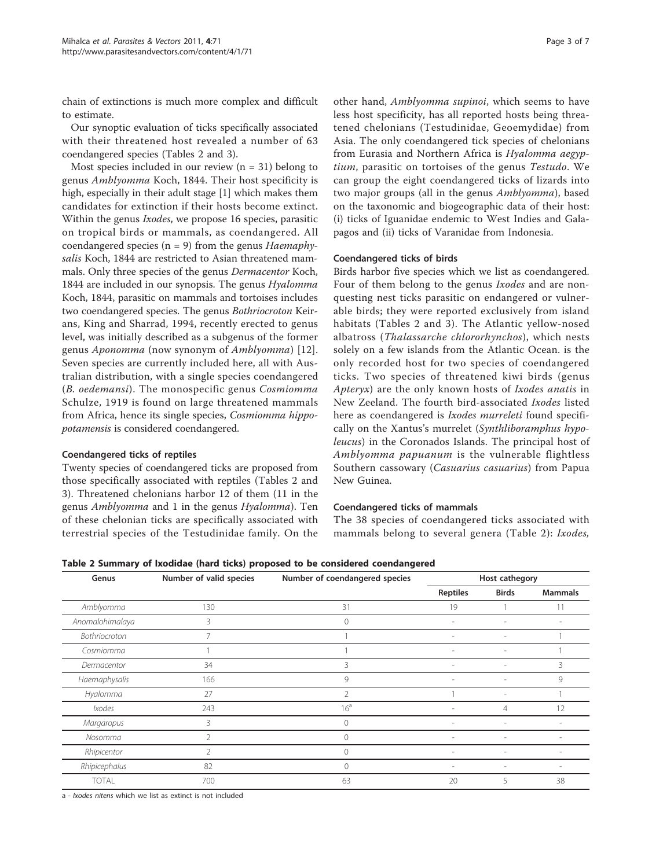chain of extinctions is much more complex and difficult to estimate.

Our synoptic evaluation of ticks specifically associated with their threatened host revealed a number of 63 coendangered species (Tables 2 and [3](#page-3-0)).

Most species included in our review  $(n = 31)$  belong to genus Amblyomma Koch, 1844. Their host specificity is high, especially in their adult stage [\[1](#page-5-0)] which makes them candidates for extinction if their hosts become extinct. Within the genus Ixodes, we propose 16 species, parasitic on tropical birds or mammals, as coendangered. All coendangered species  $(n = 9)$  from the genus *Haemaphy*salis Koch, 1844 are restricted to Asian threatened mammals. Only three species of the genus Dermacentor Koch, 1844 are included in our synopsis. The genus Hyalomma Koch, 1844, parasitic on mammals and tortoises includes two coendangered species. The genus Bothriocroton Keirans, King and Sharrad, 1994, recently erected to genus level, was initially described as a subgenus of the former genus Aponomma (now synonym of Amblyomma) [[12](#page-6-0)]. Seven species are currently included here, all with Australian distribution, with a single species coendangered (B. oedemansi). The monospecific genus Cosmiomma Schulze, 1919 is found on large threatened mammals from Africa, hence its single species, Cosmiomma hippopotamensis is considered coendangered.

#### Coendangered ticks of reptiles

Twenty species of coendangered ticks are proposed from those specifically associated with reptiles (Tables 2 and [3\)](#page-3-0). Threatened chelonians harbor 12 of them (11 in the genus Amblyomma and 1 in the genus Hyalomma). Ten of these chelonian ticks are specifically associated with terrestrial species of the Testudinidae family. On the

other hand, Amblyomma supinoi, which seems to have less host specificity, has all reported hosts being threatened chelonians (Testudinidae, Geoemydidae) from Asia. The only coendangered tick species of chelonians from Eurasia and Northern Africa is Hyalomma aegyptium, parasitic on tortoises of the genus Testudo. We can group the eight coendangered ticks of lizards into two major groups (all in the genus Amblyomma), based on the taxonomic and biogeographic data of their host: (i) ticks of Iguanidae endemic to West Indies and Galapagos and (ii) ticks of Varanidae from Indonesia.

#### Coendangered ticks of birds

Birds harbor five species which we list as coendangered. Four of them belong to the genus *Ixodes* and are nonquesting nest ticks parasitic on endangered or vulnerable birds; they were reported exclusively from island habitats (Tables 2 and [3](#page-3-0)). The Atlantic yellow-nosed albatross (Thalassarche chlororhynchos), which nests solely on a few islands from the Atlantic Ocean. is the only recorded host for two species of coendangered ticks. Two species of threatened kiwi birds (genus Apteryx) are the only known hosts of Ixodes anatis in New Zeeland. The fourth bird-associated Ixodes listed here as coendangered is Ixodes murreleti found specifically on the Xantus's murrelet (Synthliboramphus hypoleucus) in the Coronados Islands. The principal host of Amblyomma papuanum is the vulnerable flightless Southern cassowary (Casuarius casuarius) from Papua New Guinea.

## Coendangered ticks of mammals

The 38 species of coendangered ticks associated with mammals belong to several genera (Table 2): Ixodes,

Table 2 Summary of Ixodidae (hard ticks) proposed to be considered coendangered

| Genus           | Number of valid species | Number of coendangered species | Host cathegory           |                          |                |
|-----------------|-------------------------|--------------------------------|--------------------------|--------------------------|----------------|
|                 |                         |                                | <b>Reptiles</b>          | <b>Birds</b>             | <b>Mammals</b> |
| Amblyomma       | 130                     | 31                             | 19                       |                          | 11             |
| Anomalohimalaya | 3                       | 0                              | $\overline{\phantom{a}}$ |                          |                |
| Bothriocroton   | $\overline{7}$          |                                | $\overline{\phantom{a}}$ | $\overline{\phantom{0}}$ |                |
| Cosmiomma       |                         |                                | $\sim$                   | ٠                        |                |
| Dermacentor     | 34                      | 3                              | $\overline{\phantom{a}}$ | $\overline{\phantom{0}}$ | 3              |
| Haemaphysalis   | 166                     | 9                              | $\sim$                   | $\overline{a}$           | 9              |
| Hyalomma        | 27                      | $\overline{2}$                 |                          | $\overline{\phantom{0}}$ |                |
| Ixodes          | 243                     | 16 <sup>a</sup>                |                          | 4                        | 12             |
| Margaropus      | 3                       | $\circ$                        | $\overline{\phantom{a}}$ | $\overline{\phantom{0}}$ |                |
| Nosomma         | $\mathfrak{D}$          | $\Omega$                       | $\sim$                   | $\overline{a}$           |                |
| Rhipicentor     | 2                       | $\circ$                        | $\overline{\phantom{a}}$ | $\overline{\phantom{0}}$ | $\sim$         |
| Rhipicephalus   | 82                      | 0                              | $\overline{\phantom{a}}$ | $\overline{a}$           |                |
| <b>TOTAL</b>    | 700                     | 63                             | 20                       | 5                        | 38             |

a - Ixodes nitens which we list as extinct is not included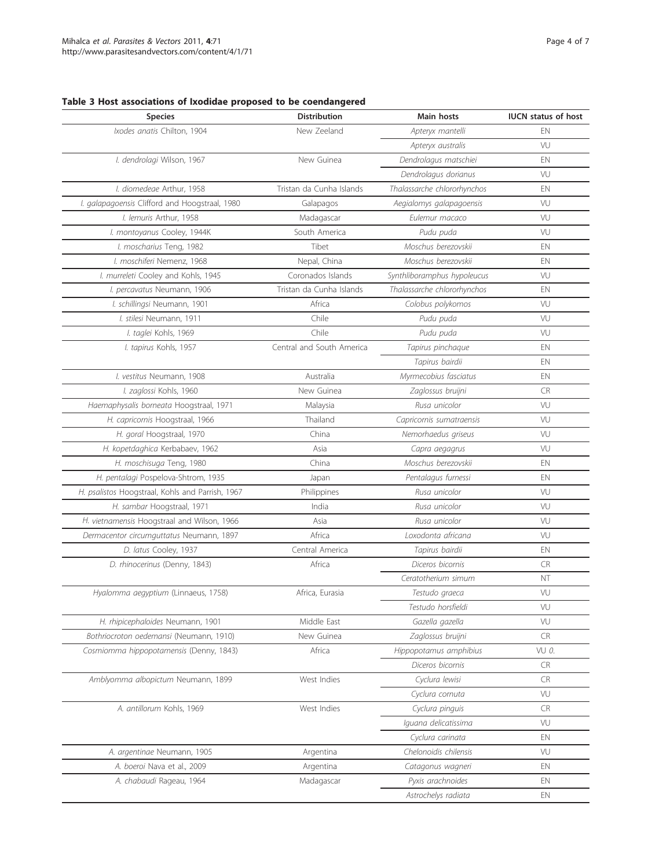# <span id="page-3-0"></span>Table 3 Host associations of Ixodidae proposed to be coendangered

| <b>Species</b>                                   | <b>Distribution</b>       | <b>Main hosts</b>           | <b>IUCN</b> status of host |
|--------------------------------------------------|---------------------------|-----------------------------|----------------------------|
| Ixodes anatis Chilton, 1904                      | New Zeeland               | Apteryx mantelli            | EN                         |
|                                                  |                           | Apteryx australis           | VU                         |
| I. dendrolagi Wilson, 1967                       | New Guinea                | Dendrolagus matschiei       | EN                         |
|                                                  |                           | Dendrolagus dorianus        | VU                         |
| I. diomedeae Arthur, 1958                        | Tristan da Cunha Islands  | Thalassarche chlororhynchos | EN                         |
| I. galapagoensis Clifford and Hoogstraal, 1980   | Galapagos                 | Aegialomys galapagoensis    | VU                         |
| I. lemuris Arthur, 1958                          | Madagascar                | Eulemur macaco              | VU                         |
| I. montoyanus Cooley, 1944K                      | South America             | Pudu puda                   | VU                         |
| I. moscharius Teng, 1982                         | Tibet                     | Moschus berezovskii         | EN                         |
| I. moschiferi Nemenz. 1968                       | Nepal, China              | Moschus berezovskii         | EN                         |
| I. murreleti Cooley and Kohls, 1945              | Coronados Islands         | Synthliboramphus hypoleucus | VU                         |
| I. percavatus Neumann, 1906                      | Tristan da Cunha Islands  | Thalassarche chlororhynchos | EN                         |
| I. schillingsi Neumann, 1901                     | Africa                    | Colobus polykomos           | VU                         |
| I. stilesi Neumann, 1911                         | Chile                     | Pudu puda                   | VU                         |
| I. taglei Kohls, 1969                            | Chile                     | Pudu puda                   | VU                         |
| I. tapirus Kohls, 1957                           | Central and South America | Tapirus pinchaque           | EN                         |
|                                                  |                           | Tapirus bairdii             | EN                         |
| I. vestitus Neumann, 1908                        | Australia                 | Myrmecobius fasciatus       | EN                         |
| I. zaglossi Kohls, 1960                          | New Guinea                | Zaglossus bruijni           | CR                         |
| Haemaphysalis borneata Hoogstraal, 1971          | Malaysia                  | Rusa unicolor               | VU                         |
| H. capricornis Hoogstraal, 1966                  | Thailand                  | Capricornis sumatraensis    | VU                         |
| H. goral Hoogstraal, 1970                        | China                     | Nemorhaedus griseus         | VU                         |
| H. kopetdaghica Kerbabaev, 1962                  | Asia                      | Capra aegagrus              | VU                         |
| H. moschisuga Teng, 1980                         | China                     | Moschus berezovskii         | EN                         |
| H. pentalagi Pospelova-Shtrom, 1935              | Japan                     | Pentalagus furnessi         | EN                         |
| H. psalistos Hoogstraal, Kohls and Parrish, 1967 | Philippines               | Rusa unicolor               | VU                         |
| H. sambar Hoogstraal, 1971                       | India                     | Rusa unicolor               | VU                         |
| H. vietnamensis Hoogstraal and Wilson, 1966      | Asia                      | Rusa unicolor               | VU                         |
| Dermacentor circumguttatus Neumann, 1897         | Africa                    | Loxodonta africana          | VU                         |
| D. latus Cooley, 1937                            | Central America           | Tapirus bairdii             | EN                         |
| D. rhinocerinus (Denny, 1843)                    | Africa                    | Diceros bicornis            | CR.                        |
|                                                  |                           | Ceratotherium simum         | NT                         |
| Hyalomma aegyptium (Linnaeus, 1758)              | Africa, Eurasia           | Testudo graeca              | VU                         |
|                                                  |                           | Testudo horsfieldi          | VU                         |
| H. rhipicephaloides Neumann, 1901                | Middle East               | Gazella gazella             | VU                         |
| Bothriocroton oedemansi (Neumann, 1910)          | New Guinea                | Zaglossus bruijni           | CR.                        |
| Cosmiomma hippopotamensis (Denny, 1843)          | Africa                    | Hippopotamus amphibius      | VU 0.                      |
|                                                  |                           | Diceros bicornis            | <b>CR</b>                  |
| Amblyomma albopictum Neumann, 1899               | West Indies               | Cyclura lewisi              | <b>CR</b>                  |
|                                                  |                           | Cyclura cornuta             | VU                         |
| A. antillorum Kohls, 1969                        | West Indies               | Cyclura pinguis             | CR.                        |
|                                                  |                           | Iquana delicatissima        | VU                         |
|                                                  |                           | Cyclura carinata            | EN                         |
| A. argentinae Neumann, 1905                      | Argentina                 | Chelonoidis chilensis       | VU                         |
| A. boeroi Nava et al., 2009                      | Argentina                 | Catagonus wagneri           | EN                         |
| A. chabaudi Rageau, 1964                         | Madagascar                | Pyxis arachnoides           | EN                         |
|                                                  |                           | Astrochelys radiata         | EN                         |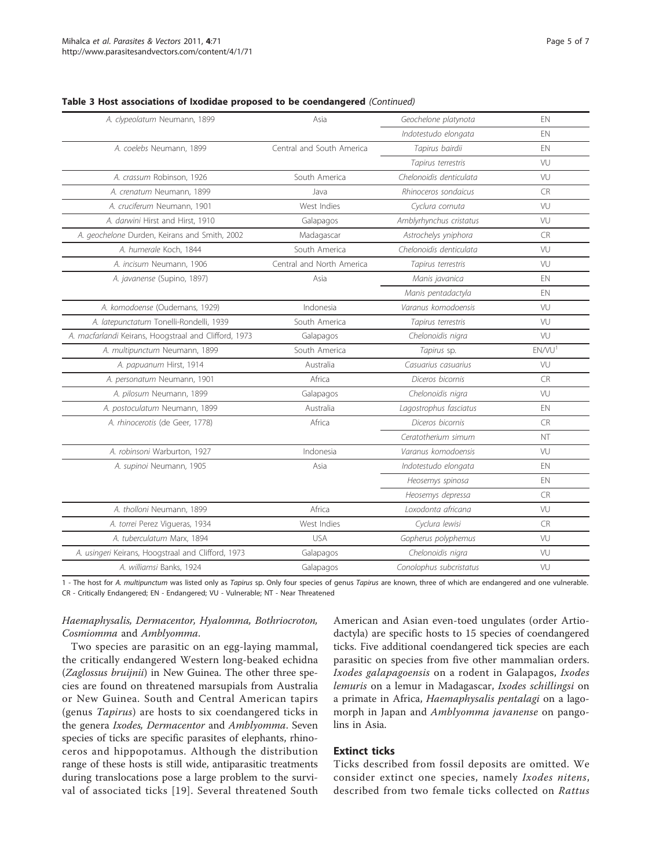| Table 3 Host associations of Ixodidae proposed to be coendangered (Continued) |  |  |  |  |
|-------------------------------------------------------------------------------|--|--|--|--|
|-------------------------------------------------------------------------------|--|--|--|--|

| A. clypeolatum Neumann, 1899                          | Asia                      | Geochelone platynota    | EN                |
|-------------------------------------------------------|---------------------------|-------------------------|-------------------|
|                                                       |                           | Indotestudo elongata    | EN                |
| A. coelebs Neumann, 1899                              | Central and South America | Tapirus bairdii         | EN                |
|                                                       |                           | Tapirus terrestris      | VU                |
| A. crassum Robinson, 1926                             | South America             | Chelonoidis denticulata | VU                |
| A. crenatum Neumann, 1899                             | Java                      | Rhinoceros sondaicus    | <b>CR</b>         |
| A. cruciferum Neumann, 1901                           | West Indies               | Cyclura cornuta         | VU                |
| A. darwini Hirst and Hirst, 1910                      | Galapagos                 | Amblyrhynchus cristatus | VU                |
| A. geochelone Durden, Keirans and Smith, 2002         | Madagascar                | Astrochelys yniphora    | <b>CR</b>         |
| A. humerale Koch. 1844                                | South America             | Chelonoidis denticulata | VU                |
| A. incisum Neumann, 1906                              | Central and North America | Tapirus terrestris      | VU                |
| A. javanense (Supino, 1897)                           | Asia                      | Manis javanica          | EN                |
|                                                       |                           | Manis pentadactyla      | EN                |
| A. komodoense (Oudemans, 1929)                        | Indonesia                 | Varanus komodoensis     | VU                |
| A. latepunctatum Tonelli-Rondelli, 1939               | South America             | Tapirus terrestris      | VU                |
| A. macfarlandi Keirans, Hoogstraal and Clifford, 1973 | Galapagos                 | Chelonoidis nigra       | VU                |
| A. multipunctum Neumann, 1899                         | South America             | Tapirus sp.             | ENNU <sup>1</sup> |
| A. papuanum Hirst, 1914                               | Australia                 | Casuarius casuarius     | VU                |
|                                                       |                           |                         |                   |
| A. personatum Neumann, 1901                           | Africa                    | Diceros bicornis        | <b>CR</b>         |
| A. pilosum Neumann, 1899                              | Galapagos                 | Chelonoidis nigra       | VU                |
| A. postoculatum Neumann, 1899                         | Australia                 | Lagostrophus fasciatus  | EN                |
| A. rhinocerotis (de Geer, 1778)                       | Africa                    | Diceros bicornis        | <b>CR</b>         |
|                                                       |                           | Ceratotherium simum     | NT                |
| A. robinsoni Warburton, 1927                          | Indonesia                 | Varanus komodoensis     | VU                |
| A. supinoi Neumann, 1905                              | Asia                      | Indotestudo elongata    | EN                |
|                                                       |                           | Heosemys spinosa        | EN                |
|                                                       |                           | Heosemys depressa       | <b>CR</b>         |
| A. tholloni Neumann, 1899                             | Africa                    | Loxodonta africana      | VU                |
| A. torrei Perez Vigueras, 1934                        | West Indies               | Cyclura lewisi          | <b>CR</b>         |
| A. tuberculatum Marx, 1894                            | <b>USA</b>                | Gopherus polyphemus     | VU                |
| A. usingeri Keirans, Hoogstraal and Clifford, 1973    | Galapagos                 | Chelonoidis nigra       | VU                |
| A. williamsi Banks, 1924                              | Galapagos                 | Conolophus subcristatus | VU                |

1 - The host for A. multipunctum was listed only as Tapirus sp. Only four species of genus Tapirus are known, three of which are endangered and one vulnerable. CR - Critically Endangered; EN - Endangered; VU - Vulnerable; NT - Near Threatened

#### Haemaphysalis, Dermacentor, Hyalomma, Bothriocroton, Cosmiomma and Amblyomma.

Two species are parasitic on an egg-laying mammal, the critically endangered Western long-beaked echidna (Zaglossus bruijnii) in New Guinea. The other three species are found on threatened marsupials from Australia or New Guinea. South and Central American tapirs (genus Tapirus) are hosts to six coendangered ticks in the genera Ixodes, Dermacentor and Amblyomma. Seven species of ticks are specific parasites of elephants, rhinoceros and hippopotamus. Although the distribution range of these hosts is still wide, antiparasitic treatments during translocations pose a large problem to the survival of associated ticks [[19\]](#page-6-0). Several threatened South American and Asian even-toed ungulates (order Artiodactyla) are specific hosts to 15 species of coendangered ticks. Five additional coendangered tick species are each parasitic on species from five other mammalian orders. Ixodes galapagoensis on a rodent in Galapagos, Ixodes lemuris on a lemur in Madagascar, Ixodes schillingsi on a primate in Africa, Haemaphysalis pentalagi on a lagomorph in Japan and Amblyomma javanense on pangolins in Asia.

# Extinct ticks

Ticks described from fossil deposits are omitted. We consider extinct one species, namely Ixodes nitens, described from two female ticks collected on Rattus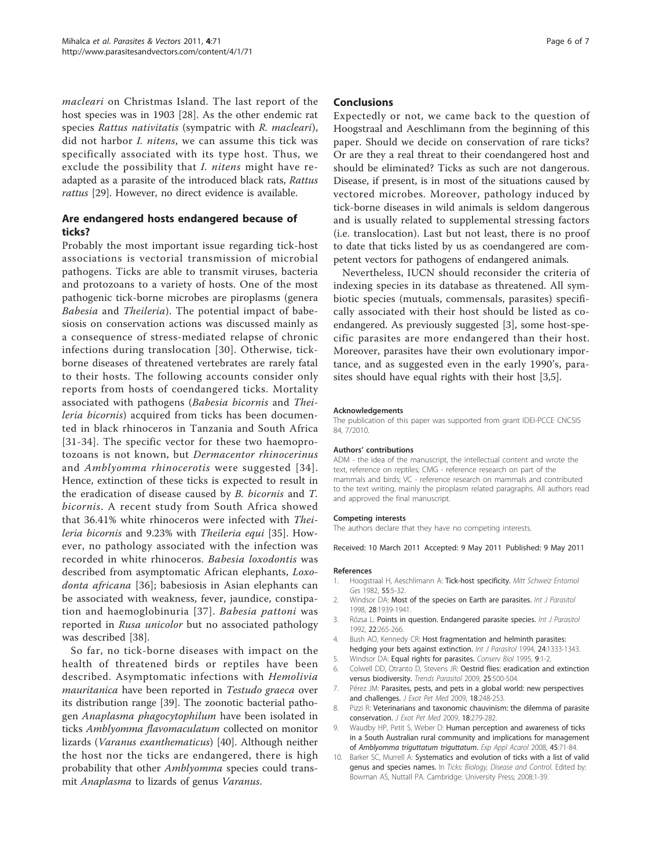<span id="page-5-0"></span>macleari on Christmas Island. The last report of the host species was in 1903 [\[28](#page-6-0)]. As the other endemic rat species Rattus nativitatis (sympatric with R. macleari), did not harbor I. nitens, we can assume this tick was specifically associated with its type host. Thus, we exclude the possibility that *I. nitens* might have readapted as a parasite of the introduced black rats, Rattus rattus [\[29\]](#page-6-0). However, no direct evidence is available.

# Are endangered hosts endangered because of ticks?

Probably the most important issue regarding tick-host associations is vectorial transmission of microbial pathogens. Ticks are able to transmit viruses, bacteria and protozoans to a variety of hosts. One of the most pathogenic tick-borne microbes are piroplasms (genera Babesia and Theileria). The potential impact of babesiosis on conservation actions was discussed mainly as a consequence of stress-mediated relapse of chronic infections during translocation [[30](#page-6-0)]. Otherwise, tickborne diseases of threatened vertebrates are rarely fatal to their hosts. The following accounts consider only reports from hosts of coendangered ticks. Mortality associated with pathogens (Babesia bicornis and Theileria bicornis) acquired from ticks has been documented in black rhinoceros in Tanzania and South Africa [[31-34\]](#page-6-0). The specific vector for these two haemoprotozoans is not known, but Dermacentor rhinocerinus and Amblyomma rhinocerotis were suggested [[34\]](#page-6-0). Hence, extinction of these ticks is expected to result in the eradication of disease caused by B. bicornis and T. bicornis. A recent study from South Africa showed that 36.41% white rhinoceros were infected with Theileria bicornis and 9.23% with Theileria equi [\[35](#page-6-0)]. However, no pathology associated with the infection was recorded in white rhinoceros. Babesia loxodontis was described from asymptomatic African elephants, Loxo-donta africana [[36](#page-6-0)]; babesiosis in Asian elephants can be associated with weakness, fever, jaundice, constipation and haemoglobinuria [[37\]](#page-6-0). Babesia pattoni was reported in Rusa unicolor but no associated pathology was described [\[38](#page-6-0)].

So far, no tick-borne diseases with impact on the health of threatened birds or reptiles have been described. Asymptomatic infections with Hemolivia mauritanica have been reported in Testudo graeca over its distribution range [\[39](#page-6-0)]. The zoonotic bacterial pathogen Anaplasma phagocytophilum have been isolated in ticks Amblyomma flavomaculatum collected on monitor lizards (Varanus exanthematicus) [\[40](#page-6-0)]. Although neither the host nor the ticks are endangered, there is high probability that other *Amblyomma* species could transmit Anaplasma to lizards of genus Varanus.

#### Conclusions

Expectedly or not, we came back to the question of Hoogstraal and Aeschlimann from the beginning of this paper. Should we decide on conservation of rare ticks? Or are they a real threat to their coendangered host and should be eliminated? Ticks as such are not dangerous. Disease, if present, is in most of the situations caused by vectored microbes. Moreover, pathology induced by tick-borne diseases in wild animals is seldom dangerous and is usually related to supplemental stressing factors (i.e. translocation). Last but not least, there is no proof to date that ticks listed by us as coendangered are competent vectors for pathogens of endangered animals.

Nevertheless, IUCN should reconsider the criteria of indexing species in its database as threatened. All symbiotic species (mutuals, commensals, parasites) specifically associated with their host should be listed as coendangered. As previously suggested [3], some host-specific parasites are more endangered than their host. Moreover, parasites have their own evolutionary importance, and as suggested even in the early 1990's, parasites should have equal rights with their host [3,5].

#### Acknowledgements

The publication of this paper was supported from grant IDEI-PCCE CNCSIS 84, 7/2010.

#### Authors' contributions

ADM - the idea of the manuscript, the intellectual content and wrote the text, reference on reptiles; CMG - reference research on part of the mammals and birds; VC - reference research on mammals and contributed to the text writing, mainly the piroplasm related paragraphs. All authors read and approved the final manuscript.

#### Competing interests

The authors declare that they have no competing interests.

Received: 10 March 2011 Accepted: 9 May 2011 Published: 9 May 2011

#### References

- 1. Hoogstraal H, Aeschlimann A: Tick-host specificity. Mitt Schweiz Entomol Ges 1982, 55:5-32.
- 2. Windsor DA: [Most of the species on Earth are parasites.](http://www.ncbi.nlm.nih.gov/pubmed/9925276?dopt=Abstract) Int J Parasitol 1998, 28:1939-1941.
- 3. Rózsa L: [Points in question. Endangered parasite species.](http://www.ncbi.nlm.nih.gov/pubmed/1639560?dopt=Abstract) Int J Parasitol 1992, 22:265-266.
- 4. Bush AO, Kennedy CR: [Host fragmentation and helminth parasites:](http://www.ncbi.nlm.nih.gov/pubmed/7729985?dopt=Abstract) [hedging your bets against extinction.](http://www.ncbi.nlm.nih.gov/pubmed/7729985?dopt=Abstract) Int J Parasitol 1994, 24:1333-1343.
- 5. Windsor DA: Equal rights for parasites. Conserv Biol 1995, 9:1-2.
- 6. Colwell DD, Otranto D, Stevens JR: [Oestrid flies: eradication and extinction](http://www.ncbi.nlm.nih.gov/pubmed/19762281?dopt=Abstract) [versus biodiversity.](http://www.ncbi.nlm.nih.gov/pubmed/19762281?dopt=Abstract) Trends Parasitol 2009, 25:500-504.
- 7. Pérez JM: Parasites, pests, and pets in a global world: new perspectives and challenges. J Exot Pet Med 2009, 18:248-253.
- 8. Pizzi R: Veterinarians and taxonomic chauvinism: the dilemma of parasite conservation. J Exot Pet Med 2009, 18:279-282.
- 9. Waudby HP, Petit S, Weber D: [Human perception and awareness of ticks](http://www.ncbi.nlm.nih.gov/pubmed/18427936?dopt=Abstract) [in a South Australian rural community and implications for management](http://www.ncbi.nlm.nih.gov/pubmed/18427936?dopt=Abstract) of [Amblyomma triguttatum triguttatum](http://www.ncbi.nlm.nih.gov/pubmed/18427936?dopt=Abstract). Exp Appl Acarol 2008, 45:71-84.
- 10. Barker SC, Murrell A: Systematics and evolution of ticks with a list of valid genus and species names. In Ticks: Biology, Disease and Control. Edited by: Bowman AS, Nuttall PA. Cambridge: University Press; 2008:1-39.